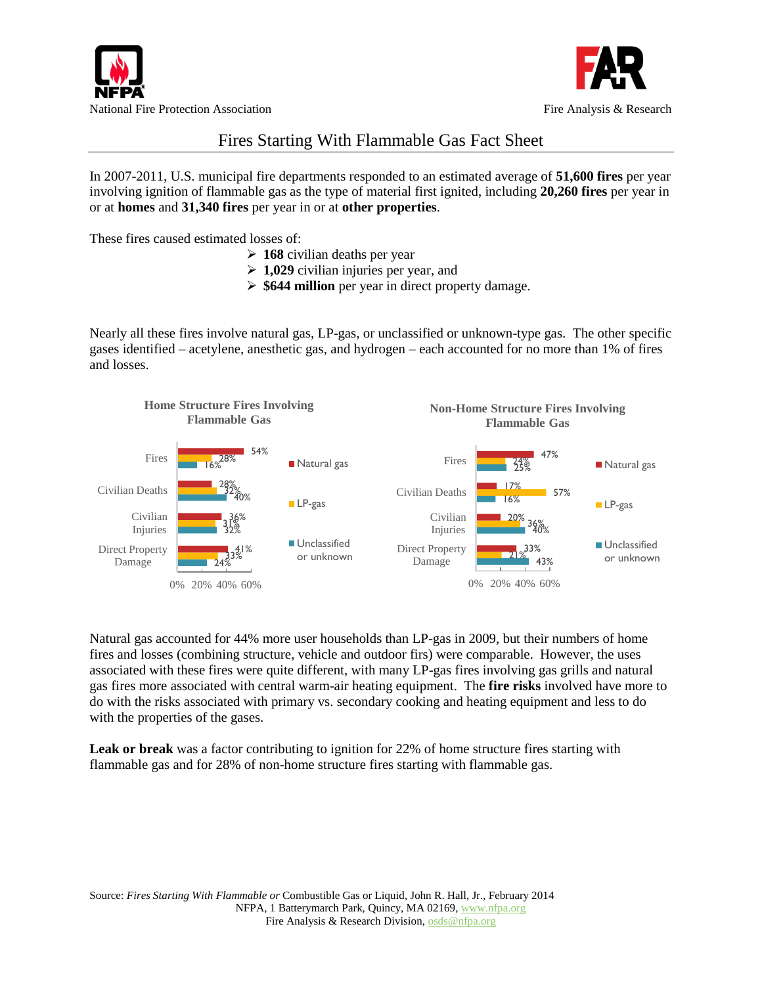



## Fires Starting With Flammable Gas Fact Sheet

In 2007-2011, U.S. municipal fire departments responded to an estimated average of **51,600 fires** per year involving ignition of flammable gas as the type of material first ignited, including **20,260 fires** per year in or at **homes** and **31,340 fires** per year in or at **other properties**.

These fires caused estimated losses of:

- **168** civilian deaths per year
- **1,029** civilian injuries per year, and
- **\$644 million** per year in direct property damage.

Nearly all these fires involve natural gas, LP-gas, or unclassified or unknown-type gas. The other specific gases identified – acetylene, anesthetic gas, and hydrogen – each accounted for no more than 1% of fires and losses.



Natural gas accounted for 44% more user households than LP-gas in 2009, but their numbers of home fires and losses (combining structure, vehicle and outdoor firs) were comparable. However, the uses associated with these fires were quite different, with many LP-gas fires involving gas grills and natural gas fires more associated with central warm-air heating equipment. The **fire risks** involved have more to do with the risks associated with primary vs. secondary cooking and heating equipment and less to do with the properties of the gases.

**Leak or break** was a factor contributing to ignition for 22% of home structure fires starting with flammable gas and for 28% of non-home structure fires starting with flammable gas.